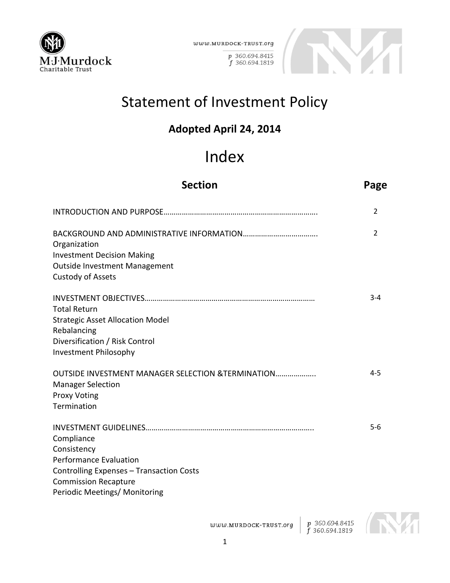

 $www. {\tt MURDOCK-TRUST.} org$ 

p 360.694.8415 f 360.694.1819



# Statement of Investment Policy

# **Adopted April 24, 2014**

# Index

| <b>Section</b>                                                                                                                                                                | Page           |
|-------------------------------------------------------------------------------------------------------------------------------------------------------------------------------|----------------|
|                                                                                                                                                                               | 2              |
| Organization<br><b>Investment Decision Making</b><br><b>Outside Investment Management</b><br><b>Custody of Assets</b>                                                         | $\overline{2}$ |
| <b>Total Return</b><br><b>Strategic Asset Allocation Model</b><br>Rebalancing<br>Diversification / Risk Control<br>Investment Philosophy                                      | $3 - 4$        |
| <b>OUTSIDE INVESTMENT MANAGER SELECTION &amp;TERMINATION</b><br><b>Manager Selection</b><br><b>Proxy Voting</b><br>Termination                                                | $4 - 5$        |
| Compliance<br>Consistency<br><b>Performance Evaluation</b><br><b>Controlling Expenses - Transaction Costs</b><br><b>Commission Recapture</b><br>Periodic Meetings/ Monitoring | $5-6$          |

p 360.694.8415<br>f 360.694.1819  $www. {\tt MURDOCK-TRUST.} org$ 

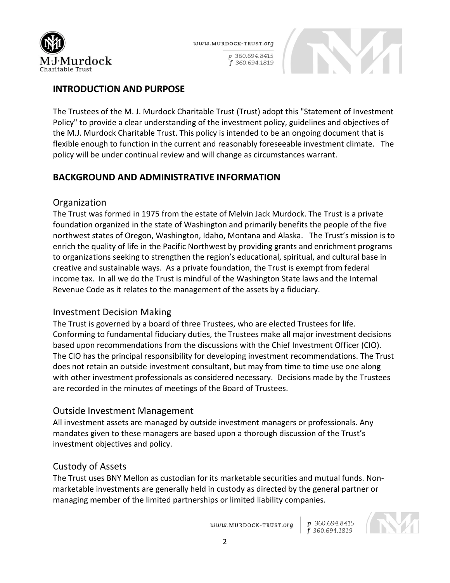

p 360.694.8415 f 360.694.1819



# **INTRODUCTION AND PURPOSE**

The Trustees of the M. J. Murdock Charitable Trust (Trust) adopt this "Statement of Investment Policy" to provide a clear understanding of the investment policy, guidelines and objectives of the M.J. Murdock Charitable Trust. This policy is intended to be an ongoing document that is flexible enough to function in the current and reasonably foreseeable investment climate. The policy will be under continual review and will change as circumstances warrant.

# **BACKGROUND AND ADMINISTRATIVE INFORMATION**

#### **Organization**

The Trust was formed in 1975 from the estate of Melvin Jack Murdock. The Trust is a private foundation organized in the state of Washington and primarily benefits the people of the five northwest states of Oregon, Washington, Idaho, Montana and Alaska. The Trust's mission is to enrich the quality of life in the Pacific Northwest by providing grants and enrichment programs to organizations seeking to strengthen the region's educational, spiritual, and cultural base in creative and sustainable ways. As a private foundation, the Trust is exempt from federal income tax. In all we do the Trust is mindful of the Washington State laws and the Internal Revenue Code as it relates to the management of the assets by a fiduciary.

#### Investment Decision Making

The Trust is governed by a board of three Trustees, who are elected Trustees for life. Conforming to fundamental fiduciary duties, the Trustees make all major investment decisions based upon recommendations from the discussions with the Chief Investment Officer (CIO). The CIO has the principal responsibility for developing investment recommendations. The Trust does not retain an outside investment consultant, but may from time to time use one along with other investment professionals as considered necessary. Decisions made by the Trustees are recorded in the minutes of meetings of the Board of Trustees.

#### Outside Investment Management

All investment assets are managed by outside investment managers or professionals. Any mandates given to these managers are based upon a thorough discussion of the Trust's investment objectives and policy.

# Custody of Assets

The Trust uses BNY Mellon as custodian for its marketable securities and mutual funds. Nonmarketable investments are generally held in custody as directed by the general partner or managing member of the limited partnerships or limited liability companies.

www.MURDOCK-TRUST.org



f 360.694.1819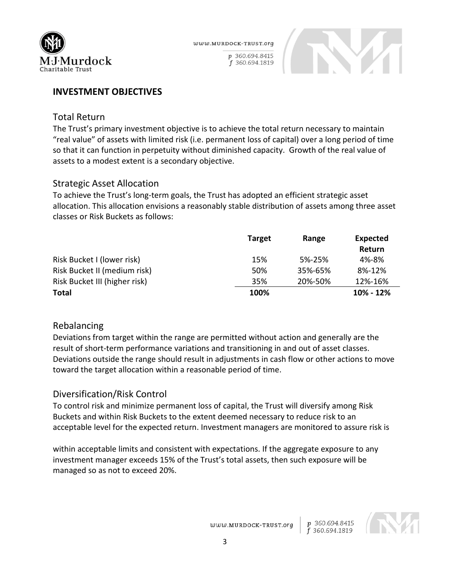

p 360.694.8415 f 360.694.1819



#### **INVESTMENT OBJECTIVES**

#### Total Return

The Trust's primary investment objective is to achieve the total return necessary to maintain "real value" of assets with limited risk (i.e. permanent loss of capital) over a long period of time so that it can function in perpetuity without diminished capacity. Growth of the real value of assets to a modest extent is a secondary objective.

#### Strategic Asset Allocation

To achieve the Trust's long-term goals, the Trust has adopted an efficient strategic asset allocation. This allocation envisions a reasonably stable distribution of assets among three asset classes or Risk Buckets as follows:

|                               | <b>Target</b> | Range   | <b>Expected</b><br>Return |
|-------------------------------|---------------|---------|---------------------------|
| Risk Bucket I (lower risk)    | 15%           | 5%-25%  | 4%-8%                     |
| Risk Bucket II (medium risk)  | 50%           | 35%-65% | 8%-12%                    |
| Risk Bucket III (higher risk) | 35%           | 20%-50% | 12%-16%                   |
| <b>Total</b>                  | 100%          |         | 10% - 12%                 |

#### Rebalancing

Deviations from target within the range are permitted without action and generally are the result of short-term performance variations and transitioning in and out of asset classes. Deviations outside the range should result in adjustments in cash flow or other actions to move toward the target allocation within a reasonable period of time.

#### Diversification/Risk Control

To control risk and minimize permanent loss of capital, the Trust will diversify among Risk Buckets and within Risk Buckets to the extent deemed necessary to reduce risk to an acceptable level for the expected return. Investment managers are monitored to assure risk is

within acceptable limits and consistent with expectations. If the aggregate exposure to any investment manager exceeds 15% of the Trust's total assets, then such exposure will be managed so as not to exceed 20%.

> p 360.694.8415<br>f 360.694.1819 www.MURDOCK-TRUST.org

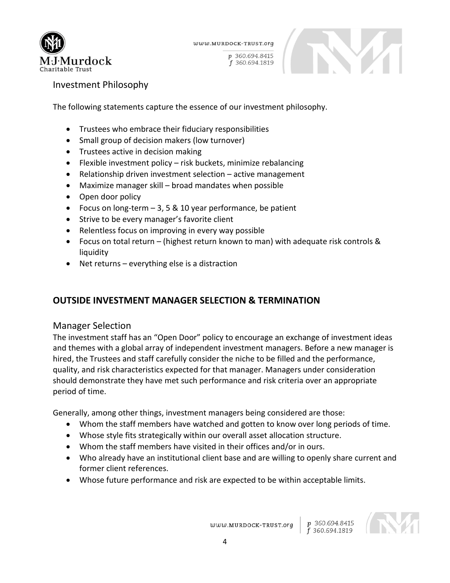

www.MURDOCK-TRUST.org

p 360.694.8415 f 360.694.1819



Investment Philosophy

The following statements capture the essence of our investment philosophy.

- Trustees who embrace their fiduciary responsibilities
- Small group of decision makers (low turnover)
- Trustees active in decision making
- Flexible investment policy risk buckets, minimize rebalancing
- Relationship driven investment selection active management
- Maximize manager skill broad mandates when possible
- Open door policy
- Focus on long-term 3, 5 & 10 year performance, be patient
- Strive to be every manager's favorite client
- Relentless focus on improving in every way possible
- Focus on total return (highest return known to man) with adequate risk controls & liquidity
- Net returns everything else is a distraction

# **OUTSIDE INVESTMENT MANAGER SELECTION & TERMINATION**

#### Manager Selection

The investment staff has an "Open Door" policy to encourage an exchange of investment ideas and themes with a global array of independent investment managers. Before a new manager is hired, the Trustees and staff carefully consider the niche to be filled and the performance, quality, and risk characteristics expected for that manager. Managers under consideration should demonstrate they have met such performance and risk criteria over an appropriate period of time.

Generally, among other things, investment managers being considered are those:

- Whom the staff members have watched and gotten to know over long periods of time.
- Whose style fits strategically within our overall asset allocation structure.
- Whom the staff members have visited in their offices and/or in ours.
- Who already have an institutional client base and are willing to openly share current and former client references.
- Whose future performance and risk are expected to be within acceptable limits.

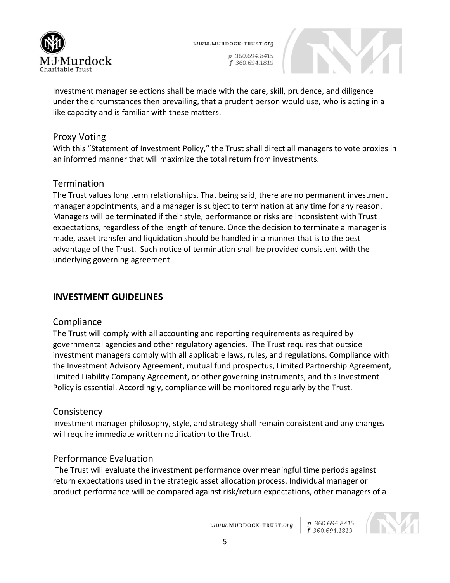

WWW.MURDOCK-TRUST.org

p 360.694.8415 f 360.694.1819



Investment manager selections shall be made with the care, skill, prudence, and diligence under the circumstances then prevailing, that a prudent person would use, who is acting in a like capacity and is familiar with these matters.

# Proxy Voting

With this "Statement of Investment Policy," the Trust shall direct all managers to vote proxies in an informed manner that will maximize the total return from investments.

# Termination

The Trust values long term relationships. That being said, there are no permanent investment manager appointments, and a manager is subject to termination at any time for any reason. Managers will be terminated if their style, performance or risks are inconsistent with Trust expectations, regardless of the length of tenure. Once the decision to terminate a manager is made, asset transfer and liquidation should be handled in a manner that is to the best advantage of the Trust. Such notice of termination shall be provided consistent with the underlying governing agreement.

# **INVESTMENT GUIDELINES**

# **Compliance**

The Trust will comply with all accounting and reporting requirements as required by governmental agencies and other regulatory agencies. The Trust requires that outside investment managers comply with all applicable laws, rules, and regulations. Compliance with the Investment Advisory Agreement, mutual fund prospectus, Limited Partnership Agreement, Limited Liability Company Agreement, or other governing instruments, and this Investment Policy is essential. Accordingly, compliance will be monitored regularly by the Trust.

# **Consistency**

Investment manager philosophy, style, and strategy shall remain consistent and any changes will require immediate written notification to the Trust.

# Performance Evaluation

The Trust will evaluate the investment performance over meaningful time periods against return expectations used in the strategic asset allocation process. Individual manager or product performance will be compared against risk/return expectations, other managers of a

www.MURDOCK-TRUST.org